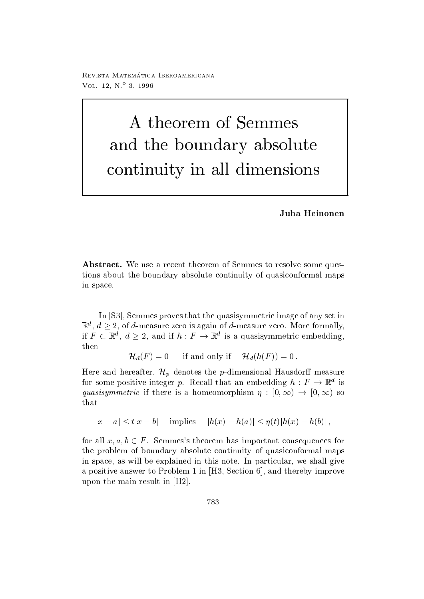reprisonal matematica - abbateonimbat ontara VOL  $12, N^{\circ}3, 1996$ 

## A theorem of Semmes and the boundary absolute continuity in all dimensions

Juha Heinonen

abstractive to the second theorem of Seminated to resolve some questtions about the boundary absolute continuity of quasiconformal maps in space

In [S3], Semmes proves that the quasisymmetric image of any set in  $\mathbb{R}^a$ ,  $d \geq 2$ , of d-measure zero is again of d-measure zero. More formally, if  $F \subset \mathbb{R}^a$ ,  $d \geq 2$ , and if  $h : F \to \mathbb{R}^a$  is a quasisymmetric embedding, then

 $\mathcal{H}_d(F)=0$  if and only if  $\mathcal{H}_d(h(F))=0$ .

Here and hereafter,  $\mathcal{H}_p$  denotes the  $p$ -dimensional Hausdorff measure for some positive integer p. Recall that an embedding  $h: F \to \mathbb{R}^d$  is quasisymmetric if there is a homeomorphism  $\eta : [0, \infty) \to [0, \infty)$  so that

 $|x-a|\leq t|x-b|$  implies  $|h(x)-h(a)|\leq \eta(t)|h(x)-h(b)|$ ,

for all  $x, a, b \in F$ . Semmes's theorem has important consequences for the problem of boundary absolute continuity of quasiconformal maps in space, as will be explained in this note. In particular, we shall give a positive answer to Problem 1 in  $[H3, Section 6]$ , and thereby improve upon the main result in  $[H2]$ .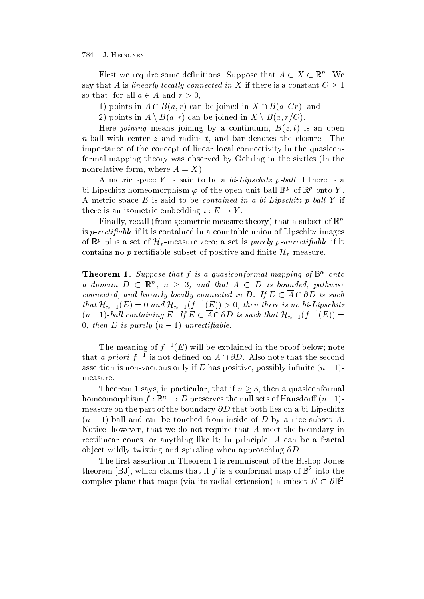784 J. HEINONEN

First we require some definitions. Suppose that  $A \subset X \subset \mathbb{R}^n$ . We say that A is linearly locally connected in X if there is a constant  $C \geq 1$ so that, for all  $a \in A$  and  $r > 0$ ,

1) points in  $A \cap B(a, r)$  can be joined in  $X \cap B(a, Cr)$ , and

2) points in  $A \setminus B(a,r)$  can be joined in  $X \setminus B(a,r/C)$ .

 $\mathcal{L}$  is an open proposed by a continuum by a continuum B  $\mathcal{L}$  is an open by a continuum B  $\mathcal{L}$ n-ball with center z and radius t and bar denotes the closure The importance of the concept of linear local connectivity in the quasiconformal mapping theory was observed by Gehring in the sixties in the nonrelative form, where  $A = X$ .

A metric space  $I$  is said to be a  $v \in Lip$ schitz p-outi if there is a bi-Lipschitz homeomorphism  $\varphi$  of the open unit ball  $\mathbb{D}^F$  of  $\mathbb{R}^F$  onto Y. A metric space  $E$  is said to be contained in a bi- $Lip$ schitz p-ball  $T$  if there is an isometric embedding  $i : E \to Y$ .

Finally recall from geometric measure theory that a subset of <sup>R</sup><sup>n</sup> is p-rectiable if it is contained in a countable union of Lipschitz images of  $\mathbb{R}^p$  plus a set of  $\mathcal{H}_p$ -measure zero; a set is *purely p-unrectifiable* if it contains no *p*-rectifiable subset of positive and finite  $\mathcal{H}_n$ -measure.

**Theorem 1.** Suppose that f is a quasiconformal mapping of  $\mathbb{D}^+$  onto a domain  $D \subset \mathbb{R}^n$ ,  $n \geq 3$ , and that  $A \subset D$  is bounded, pathwise connected, and linearly locally connected in D. If  $E \subset A \cap \partial D$  is such that  $\mathcal{H}_{n-1}(E) = 0$  and  $\mathcal{H}_{n-1}(f^{-1}(E)) > 0$ , then there is no bi-Lipschitz  $(n-1)$ -ball containing E. If  $E \subset A \cap \partial D$  is such that  $\mathcal{H}_{n-1}(f^{-1}(E)) =$  $\sigma$ , then  $E$  is purely  $(n-1)$ -unrectification

**The meaning of f**  $(E)$  will be explained in the proof below; note that a priori  $f^{-1}$  is not defined on  $A \cap \partial D$ . Also note that the second assertion is non-vacuous only if E has positive, possibly infinite  $(n-1)$ measure

Theorem 1 says, in particular, that if  $n \geq 3$ , then a quasiconformal homeomorphism  $f : \mathbb{B}^n \to D$  preserves the null sets of Hausdorff  $(n-1)$ measure on the part of the boundary D that both lies on a bi-Lipschitz  $(n - 1)$ -ball and can be touched from miside of D by a filte subset  $A$ . Notice, however, that we do not require that  $A$  meet the boundary in rectilinear cones, or anything like it; in principle, A can be a fractal object wildly twisting and spiraling when approaching  $\partial D$ .

The rst assertion in Theorem is reminiscent of the Bishop-Jones theorem  $|DJ|$ , which claims that if  $f$  is a conformal map of  $D$  into the complex plane that maps (via its radial extension) a subset  $E \subset \partial \mathbb{B}^2$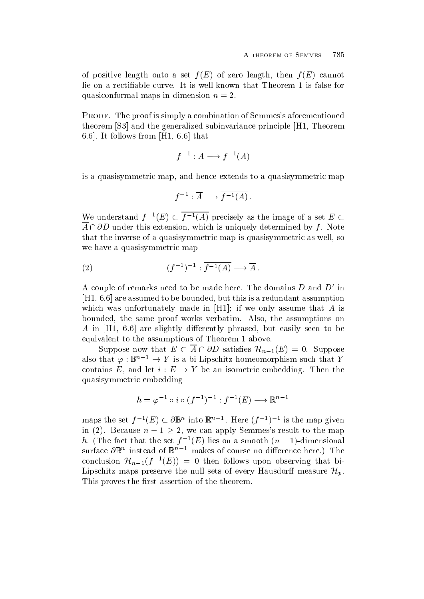of positive length onto a set f E of zero length then f E cannot quasiconformal maps in dimension  $n = 2$ .

Proof- The proof is simply a combination of Semmess aforementioned theorem [S3] and the generalized subinvariance principle [H1, Theorem 6.6. It follows from  $[H1, 6.6]$  that

$$
f^{-1}: A \longrightarrow f^{-1}(A)
$$

is a quasisymmetric map, and hence extends to a quasisymmetric map

$$
f^{-1} : \overline{A} \longrightarrow \overline{f^{-1}(A)} \ .
$$

We understand  $f^{-1}(E) \subset f^{-1}(A)$  precisely as the image of a set  $E \subset$  $\overline{A} \cap \partial D$  under this extension, which is uniquely determined by f. Note that the inverse of a quasisymmetric map is quasisymmetric as well, so we have a quasisymmetric map

(2) 
$$
(f^{-1})^{-1} : \overline{f^{-1}(A)} \longrightarrow \overline{A} .
$$

A couple of remarks need to be made here. The domains  $D$  and  $D$  -in- $[H1, 6.6]$  are assumed to be bounded, but this is a redundant assumption which was unfortunately made in  $[H1]$ ; if we only assume that A is bounded, the same proof works verbatim. Also, the assumptions on A in [H1, 6.6] are slightly differently phrased, but easily seen to be equivalent to the assumptions of Theorem 1 above.

Suppose now that  $E \subset A \cap \partial D$  satisfies  $\mathcal{H}_{n-1}(E) = 0$ . Suppose also that  $\varphi : \mathbb{B}^n \to Y$  is a bi-Lipschitz homeomorphism such that Y contains E, and let  $i : E \to Y$  be an isometric embedding. Then the quasisymmetric embedding

$$
h = \varphi^{-1} \circ i \circ (f^{-1})^{-1} : f^{-1}(E) \longrightarrow \mathbb{R}^{n-1}
$$

maps the set  $f^{-1}(E) \subset \partial \mathbb{B}^n$  into  $\mathbb{R}^{n-1}$ . Here  $(f^{-1})^{-1}$  is the map given in (2). Because  $n-1 \geq 2$ , we can apply Semmes's result to the map  $n$ , (The fact that the set f  $\tau(E)$  lies on a smooth  $(n-1)$ -dimensional surface  $\sigma$  n  $\,$  mstead of  $\,$   $\,$   $\,$  makes of course no difference here.) The conclusion  $\mathcal{H}_{n-1}(f^{-1}(E)) = 0$  then follows upon observing that bi-Lipschitz maps preserve the null sets of every Hausdorff measure  $\mathcal{H}_n$ . This proves the first assertion of the theorem.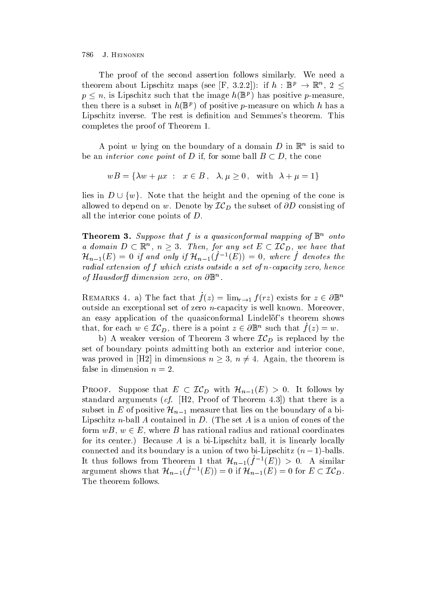## J. HEINONEN

The proof of the second assertion follows similarly. We need a theorem about Lipschitz maps (see |F, 3.2.2|): if  $h : \mathbb{B}^p \to \mathbb{R}^n$ ,  $2 \le$  $p \leq n$ , is Lipschitz such that the image  $h(\mathbb{B}^p)$  has positive p-measure, then there is a subset in  $n(\mathbb{D}^F)$  of positive p-measure on which h has a Lipschitz inverse. The rest is definition and Semmes's theorem. This completes the proof of Theorem

A point  $w$  lying on the boundary of a domain  $D$  in  $\mathbb R$  is said to be an *interior cone point* of D if, for some ball  $B \subset D$ , the cone

$$
wB = \{ \lambda w + \mu x : x \in B, \lambda, \mu \ge 0, \text{ with } \lambda + \mu = 1 \}
$$

lies in  $D \cup \{w\}$ . Note that the height and the opening of the cone is allowed to depend on w. Denote by  $\mathcal{IC}_D$  the subset of  $\partial D$  consisting of all the interior cone points of  $D$ .

**Theorem 5.** Suppose that f is a quasiconformal mapping of  $\mathbb{D}$  onto a domain  $D \subset \mathbb{R}^n$ ,  $n \geq 3$ . Then, for any set  $E \subset \mathcal{IC}_D$ , we have that  $\mathcal{H}_{n-1}(E) = 0$  if and only if  $\mathcal{H}_{n-1}(f^{-1}(E)) = 0$ , where f denotes the  $\mu$ uutut cittelliston of f which cittee outside a set of h-cupuctive zero. Hence of Hausdorff dimension zero, on  $\sigma$   $\mathbb D$  .

REMARKS 4. a) The fact that  $\dot{f}(z) = \lim_{r \to 1} f(rz)$  exists for  $z \in \partial \mathbb{B}^n$ outside and the exceptional set of zero is the supplemental set of zero n-war and the set of  $\mathcal{C}$ an easy application of the quasiconformal Lindelof's theorem shows that, for each  $w \in \mathcal{IC}_D$ , there is a point  $z \in \partial \mathbb{B}^n$  such that  $f(z) = w$ .

b) A weaker version of Theorem 3 where  $IC_D$  is replaced by the set of boundary points admitting both an exterior and interior cone was proved in [H2] in dimensions  $n \geq 3$ ,  $n \neq 4$ . Again, the theorem is false in dimension  $n = 2$ .

**PROOF.** Suppose that  $E \subset \mathcal{IC}_D$  with  $\mathcal{H}_{n-1}(E) > 0$ . It follows by state are  $\alpha$  are the proof of  $\alpha$  proof of  $\alpha$  are is a choice is a choice is a choice is a choice of  $\alpha$ subset in E of positive  $\mathcal{H}_{n-1}$  measure that lies on the boundary of a bi-Lipschitz n-ball A contained in D The set A is a union of cones of the form  $wB, w \in E$ , where B has rational radius and rational coordinates for its center Because A is a bi-distribution  $\mathbf{E}$ connected and its boundary is a union of two bi-Lipschitz  $(n - 1)$ -balls. It thus follows from Theorem 1 that  $\mathcal{H}_{n-1}(f^{-1}(E)) > 0$ . A similar argument shows that  $\mathcal{H}_{n-1}(f^{-1}(E))=0$  if  $\mathcal{H}_{n-1}(E)=0$  for  $E\subset \mathcal{IC}_D$ . The theorem follows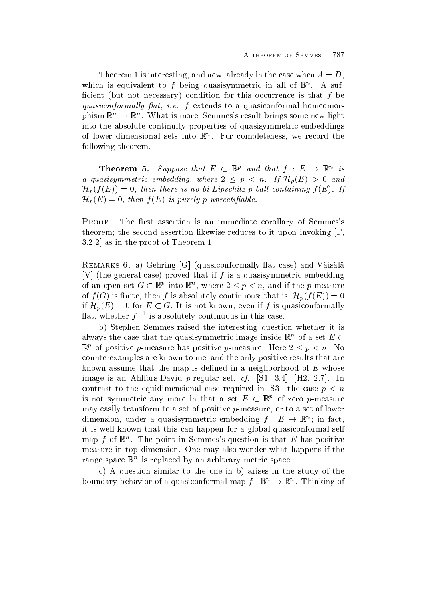Theorem 1 is interesting, and new, already in the case when  $A = D$ . which is equivalent to  $f$  being quasisymmetric in all of  $\mathbb{D}^+$ . A sufcient but not necessary condition for this occurrence is that f be  $q$ uasiconformali $q$  fius, i.e. ie extends to a quasiconformal homeomorphism  $\mathbb{K}^n \to \mathbb{K}^n$ . What is more, Semmes's result brings some new light into the absolute continuity properties of quasisymmetric embeddings of lower dimensional sets into  $\mathbb R$  . For completeness, we record the  $\overline{\phantom{a}}$ following theorem

**Theorem 5.** Suppose that  $E \subset \mathbb{R}^p$  and that  $f : E \rightarrow \mathbb{R}^n$  is a quasisymmetric embedding, where  $2 \leq p \leq n$ . If  $\mathcal{H}_n(E) > 0$  and  $\mathcal{H}_p(f(E))=0$ , then there is no bi-Lipschitz p-ball containing  $f(E)$ . If  $\mathcal{H}_p(E) = 0$ , then  $f(E)$  is purely p-unrectifiable.

PROOF. The first assertion is an immediate corollary of Semmes's theorem; the second assertion likewise reduces to it upon invoking  $[F,$  $3.2.2$  as in the proof of Theorem 1.

remarks - a ground ground at case and vaisalable and value of  $\sim$ V the general case proved that if f is a quasisymmetric embedding of an open set  $G \subset \mathbb{R}^p$  into  $\mathbb{R}^n$ , where  $2 \leq p < n$ , and if the p-measure of  $f(G)$  is finite, then f is absolutely continuous; that is,  $\mathcal{H}_p(f(E))=0$ if  $\mathcal{H}_p(E) = 0$  for  $E \subset G$ . It is not known, even if f is quasiconformally mat, whether  $f^{-1}$  is absolutely continuous in this case.

b) Stephen Semmes raised the interesting question whether it is always the case that the quasisymmetric image inside  $\mathbb{R}^n$  of a set E  $\subset$  $\mathbb{R}^p$  of positive p-measure has positive p-measure. Here  $2 \leq p \leq n$ . No counterexamples are known to me, and the only positive results that are known assume that the map is defined in a neighborhood of  $E$  whose image is an Ahlfors- in the proposition of the proposition of  $\mathcal{A}$  is a set of  $\mathcal{A}$  in the proposition of  $\mathcal{A}$ contrast to the equidimensional case required in [S3], the case  $p < n$ is not symmetric any more in that a set  $E \subset \mathbb{R}^p$  of zero p-measure may easily transform to a set of positive p-measure or to a set of lower dimension, under a quasisymmetric embedding  $f: E \to \mathbb{K}^n$ ; in fact, it is well known that this can happen for a global quasiconformal self  $\max_{\nu}$  for  $\kappa$  . The point in Semmess question is that  $E$  has positive measure in top dimension. One may also wonder what happens if the range space  $\mathbb R$  is replaced by an arbitrary metric space.

c) A question similar to the one in b) arises in the study of the boundary behavior of a quasiconformal map  $f: \mathbb{B}^n \to \mathbb{R}^n$ . Thinking of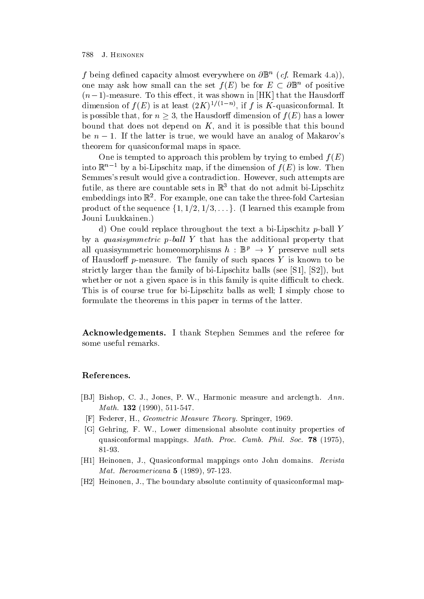## 788 J. HEINONEN

f being denned capacity almost everywhere on  $\sigma_{\mathbb{D}}$  (cf. Kemark 4.a)), one may ask how small can the set  $f(E)$  be for  $E \subset \partial \mathbb{B}^n$  of positive  $m-1$ -measure. To this effect, it was shown in THE that the Hausdorn dimension of  $f(E)$  is at least  $(Z\Lambda)^{\vee}$  and  $\Lambda$  is  $\Lambda$ -quasiconformal. It is possible that, for  $n \geq 3$ , the Hausdorff dimension of  $f(E)$  has a lower bound that does not depend on  $K$ , and it is possible that this bound be  $n-1$ . If the latter is true, we would have an analog of Makarov's theorem for quasiconformal maps in space

One is tempted to approach this problem by trying to embed f E into  $\mathbb{R}$  by a pi-Lipschitz map, if the dimension of  $f(E)$  is low. Then Semmes's result would give a contradiction. However, such attempts are ruthe, as there are countable sets in  $\mathbb{R}^+$  that do not admit bi-Lipschitz embeddings into  $\mathbb R_{+}$  . For example, one can take the three-loid Cartesian product of the sequence  $\{1, 1/2, 1/3, \ldots\}$ . (I learned this example from Jouni Luukkainen

d one could replace the text and the text and the problem p-where  $\mathbf r$  $\sigma$  a quasisymmetric p-van  $I$  that has the additional property that all quasisymmetric homeomorphisms  $h : \mathbb{B}^p \to Y$  preserve null sets of Hausdor p-Hausdor the family of such spaces of  $\mathbb{R}^n$ strictly recognitions that the family of bi-see S but because the supplying  $\mathcal{L} = \{ \mathcal{L} \mid \mathcal{L} \neq \{ \mathcal{L} \} \}$ whether or not a given space is in this family is quite difficult to check. This is of course true for bi-Lipschitz balls as well I simply chose to formulate the theorems in this paper in terms of the latter

Acknowledgements- I thank Stephen Semmes and the referee for some useful remarks

## References-

- BJ Bishop <sup>C</sup> <sup>J</sup> Jones <sup>P</sup> <sup>W</sup> Harmonic measure and arclength Ann- $M$  att.  $192$  (1990), 911-941.
- $\Gamma$  Federer, H., Ocomen a measure Theory. Opinizer, 1909.
- $\mathcal{C}$  , we consider the  $\mathcal{C}$  matrix of  $\mathcal{C}$  absolute continuity properties of  $\mathcal{C}$ deservations mappings. There is a contract to the society of the society of the society of the society of the society of the society of the society of the society of the society of the society of the society of the society
- is a Heinonen and Anti-American mapping the Line And American management of the Company of the Control of the U  $1$ *vi* ut. To chounter to under  $\bullet$  (1909), 91-140.
- $\mu_{\rm H2}$  -Heinonen,  $\sigma_{\rm H2}$  in boundary absolute continuity or quasiconformal map